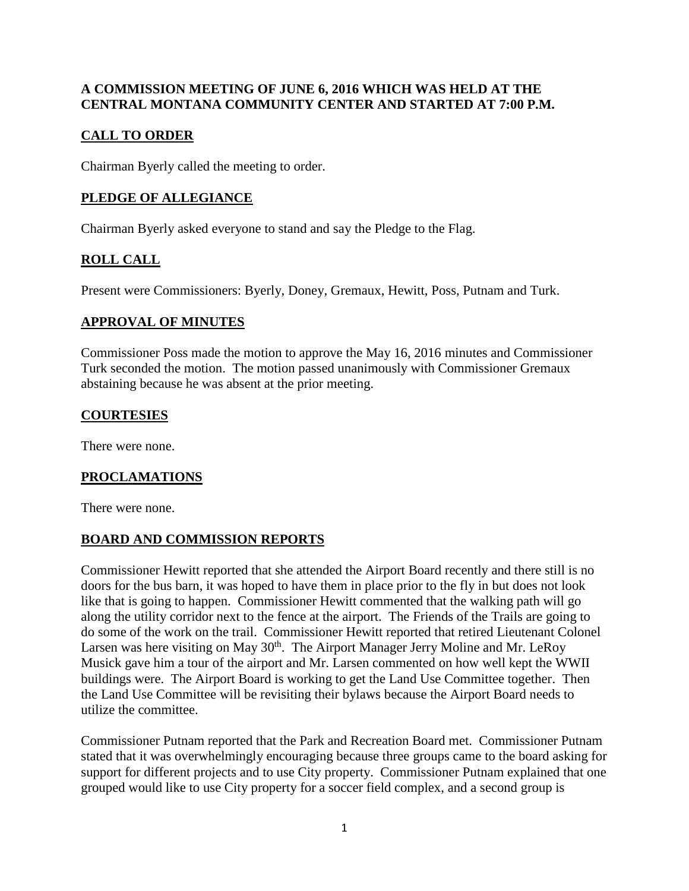### **A COMMISSION MEETING OF JUNE 6, 2016 WHICH WAS HELD AT THE CENTRAL MONTANA COMMUNITY CENTER AND STARTED AT 7:00 P.M.**

## **CALL TO ORDER**

Chairman Byerly called the meeting to order.

### **PLEDGE OF ALLEGIANCE**

Chairman Byerly asked everyone to stand and say the Pledge to the Flag.

# **ROLL CALL**

Present were Commissioners: Byerly, Doney, Gremaux, Hewitt, Poss, Putnam and Turk.

### **APPROVAL OF MINUTES**

Commissioner Poss made the motion to approve the May 16, 2016 minutes and Commissioner Turk seconded the motion. The motion passed unanimously with Commissioner Gremaux abstaining because he was absent at the prior meeting.

### **COURTESIES**

There were none.

### **PROCLAMATIONS**

There were none.

### **BOARD AND COMMISSION REPORTS**

Commissioner Hewitt reported that she attended the Airport Board recently and there still is no doors for the bus barn, it was hoped to have them in place prior to the fly in but does not look like that is going to happen. Commissioner Hewitt commented that the walking path will go along the utility corridor next to the fence at the airport. The Friends of the Trails are going to do some of the work on the trail. Commissioner Hewitt reported that retired Lieutenant Colonel Larsen was here visiting on May 30<sup>th</sup>. The Airport Manager Jerry Moline and Mr. LeRoy Musick gave him a tour of the airport and Mr. Larsen commented on how well kept the WWII buildings were. The Airport Board is working to get the Land Use Committee together. Then the Land Use Committee will be revisiting their bylaws because the Airport Board needs to utilize the committee.

Commissioner Putnam reported that the Park and Recreation Board met. Commissioner Putnam stated that it was overwhelmingly encouraging because three groups came to the board asking for support for different projects and to use City property. Commissioner Putnam explained that one grouped would like to use City property for a soccer field complex, and a second group is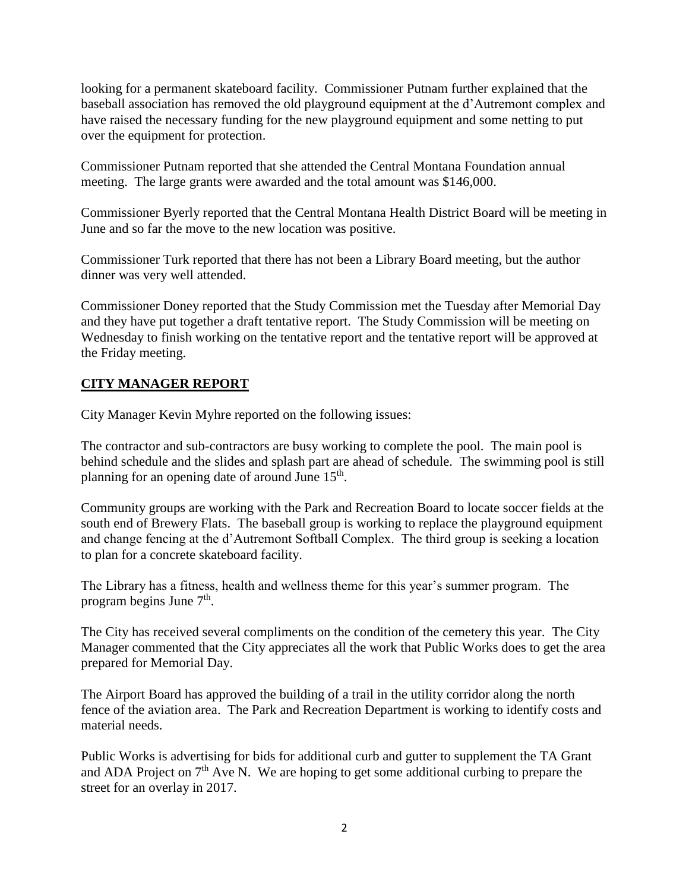looking for a permanent skateboard facility. Commissioner Putnam further explained that the baseball association has removed the old playground equipment at the d'Autremont complex and have raised the necessary funding for the new playground equipment and some netting to put over the equipment for protection.

Commissioner Putnam reported that she attended the Central Montana Foundation annual meeting. The large grants were awarded and the total amount was \$146,000.

Commissioner Byerly reported that the Central Montana Health District Board will be meeting in June and so far the move to the new location was positive.

Commissioner Turk reported that there has not been a Library Board meeting, but the author dinner was very well attended.

Commissioner Doney reported that the Study Commission met the Tuesday after Memorial Day and they have put together a draft tentative report. The Study Commission will be meeting on Wednesday to finish working on the tentative report and the tentative report will be approved at the Friday meeting.

### **CITY MANAGER REPORT**

City Manager Kevin Myhre reported on the following issues:

The contractor and sub-contractors are busy working to complete the pool. The main pool is behind schedule and the slides and splash part are ahead of schedule. The swimming pool is still planning for an opening date of around June 15<sup>th</sup>.

Community groups are working with the Park and Recreation Board to locate soccer fields at the south end of Brewery Flats. The baseball group is working to replace the playground equipment and change fencing at the d'Autremont Softball Complex. The third group is seeking a location to plan for a concrete skateboard facility.

The Library has a fitness, health and wellness theme for this year's summer program. The program begins June 7<sup>th</sup>.

The City has received several compliments on the condition of the cemetery this year. The City Manager commented that the City appreciates all the work that Public Works does to get the area prepared for Memorial Day.

The Airport Board has approved the building of a trail in the utility corridor along the north fence of the aviation area. The Park and Recreation Department is working to identify costs and material needs.

Public Works is advertising for bids for additional curb and gutter to supplement the TA Grant and ADA Project on  $7<sup>th</sup>$  Ave N. We are hoping to get some additional curbing to prepare the street for an overlay in 2017.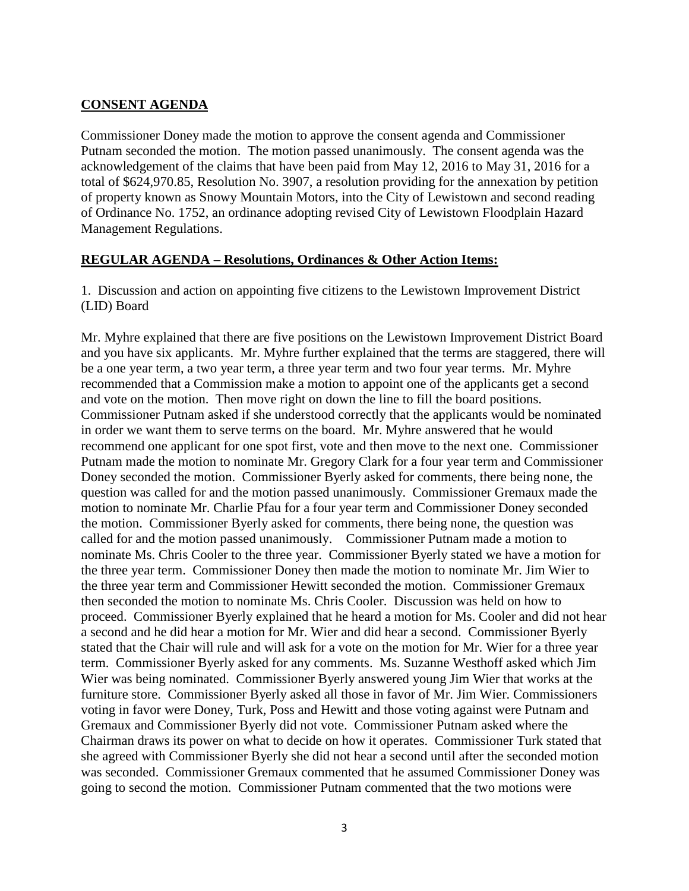#### **CONSENT AGENDA**

Commissioner Doney made the motion to approve the consent agenda and Commissioner Putnam seconded the motion. The motion passed unanimously. The consent agenda was the acknowledgement of the claims that have been paid from May 12, 2016 to May 31, 2016 for a total of \$624,970.85, Resolution No. 3907, a resolution providing for the annexation by petition of property known as Snowy Mountain Motors, into the City of Lewistown and second reading of Ordinance No. 1752, an ordinance adopting revised City of Lewistown Floodplain Hazard Management Regulations.

#### **REGULAR AGENDA – Resolutions, Ordinances & Other Action Items:**

1. Discussion and action on appointing five citizens to the Lewistown Improvement District (LID) Board

Mr. Myhre explained that there are five positions on the Lewistown Improvement District Board and you have six applicants. Mr. Myhre further explained that the terms are staggered, there will be a one year term, a two year term, a three year term and two four year terms. Mr. Myhre recommended that a Commission make a motion to appoint one of the applicants get a second and vote on the motion. Then move right on down the line to fill the board positions. Commissioner Putnam asked if she understood correctly that the applicants would be nominated in order we want them to serve terms on the board. Mr. Myhre answered that he would recommend one applicant for one spot first, vote and then move to the next one. Commissioner Putnam made the motion to nominate Mr. Gregory Clark for a four year term and Commissioner Doney seconded the motion. Commissioner Byerly asked for comments, there being none, the question was called for and the motion passed unanimously. Commissioner Gremaux made the motion to nominate Mr. Charlie Pfau for a four year term and Commissioner Doney seconded the motion. Commissioner Byerly asked for comments, there being none, the question was called for and the motion passed unanimously. Commissioner Putnam made a motion to nominate Ms. Chris Cooler to the three year. Commissioner Byerly stated we have a motion for the three year term. Commissioner Doney then made the motion to nominate Mr. Jim Wier to the three year term and Commissioner Hewitt seconded the motion. Commissioner Gremaux then seconded the motion to nominate Ms. Chris Cooler. Discussion was held on how to proceed. Commissioner Byerly explained that he heard a motion for Ms. Cooler and did not hear a second and he did hear a motion for Mr. Wier and did hear a second. Commissioner Byerly stated that the Chair will rule and will ask for a vote on the motion for Mr. Wier for a three year term. Commissioner Byerly asked for any comments. Ms. Suzanne Westhoff asked which Jim Wier was being nominated. Commissioner Byerly answered young Jim Wier that works at the furniture store. Commissioner Byerly asked all those in favor of Mr. Jim Wier. Commissioners voting in favor were Doney, Turk, Poss and Hewitt and those voting against were Putnam and Gremaux and Commissioner Byerly did not vote. Commissioner Putnam asked where the Chairman draws its power on what to decide on how it operates. Commissioner Turk stated that she agreed with Commissioner Byerly she did not hear a second until after the seconded motion was seconded. Commissioner Gremaux commented that he assumed Commissioner Doney was going to second the motion. Commissioner Putnam commented that the two motions were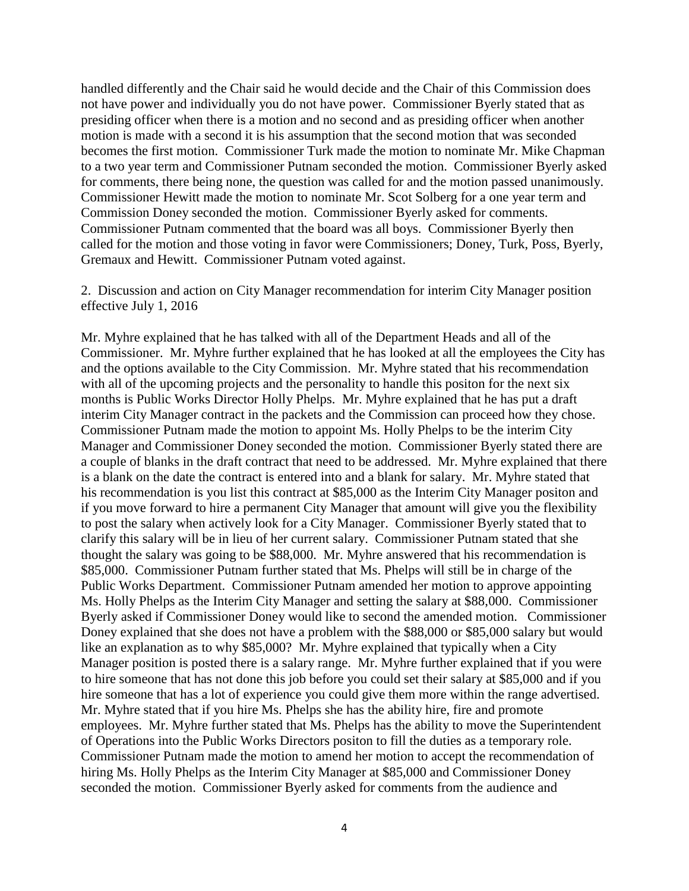handled differently and the Chair said he would decide and the Chair of this Commission does not have power and individually you do not have power. Commissioner Byerly stated that as presiding officer when there is a motion and no second and as presiding officer when another motion is made with a second it is his assumption that the second motion that was seconded becomes the first motion. Commissioner Turk made the motion to nominate Mr. Mike Chapman to a two year term and Commissioner Putnam seconded the motion. Commissioner Byerly asked for comments, there being none, the question was called for and the motion passed unanimously. Commissioner Hewitt made the motion to nominate Mr. Scot Solberg for a one year term and Commission Doney seconded the motion. Commissioner Byerly asked for comments. Commissioner Putnam commented that the board was all boys. Commissioner Byerly then called for the motion and those voting in favor were Commissioners; Doney, Turk, Poss, Byerly, Gremaux and Hewitt. Commissioner Putnam voted against.

2. Discussion and action on City Manager recommendation for interim City Manager position effective July 1, 2016

Mr. Myhre explained that he has talked with all of the Department Heads and all of the Commissioner. Mr. Myhre further explained that he has looked at all the employees the City has and the options available to the City Commission. Mr. Myhre stated that his recommendation with all of the upcoming projects and the personality to handle this positon for the next six months is Public Works Director Holly Phelps. Mr. Myhre explained that he has put a draft interim City Manager contract in the packets and the Commission can proceed how they chose. Commissioner Putnam made the motion to appoint Ms. Holly Phelps to be the interim City Manager and Commissioner Doney seconded the motion. Commissioner Byerly stated there are a couple of blanks in the draft contract that need to be addressed. Mr. Myhre explained that there is a blank on the date the contract is entered into and a blank for salary. Mr. Myhre stated that his recommendation is you list this contract at \$85,000 as the Interim City Manager positon and if you move forward to hire a permanent City Manager that amount will give you the flexibility to post the salary when actively look for a City Manager. Commissioner Byerly stated that to clarify this salary will be in lieu of her current salary. Commissioner Putnam stated that she thought the salary was going to be \$88,000. Mr. Myhre answered that his recommendation is \$85,000. Commissioner Putnam further stated that Ms. Phelps will still be in charge of the Public Works Department. Commissioner Putnam amended her motion to approve appointing Ms. Holly Phelps as the Interim City Manager and setting the salary at \$88,000. Commissioner Byerly asked if Commissioner Doney would like to second the amended motion. Commissioner Doney explained that she does not have a problem with the \$88,000 or \$85,000 salary but would like an explanation as to why \$85,000? Mr. Myhre explained that typically when a City Manager position is posted there is a salary range. Mr. Myhre further explained that if you were to hire someone that has not done this job before you could set their salary at \$85,000 and if you hire someone that has a lot of experience you could give them more within the range advertised. Mr. Myhre stated that if you hire Ms. Phelps she has the ability hire, fire and promote employees. Mr. Myhre further stated that Ms. Phelps has the ability to move the Superintendent of Operations into the Public Works Directors positon to fill the duties as a temporary role. Commissioner Putnam made the motion to amend her motion to accept the recommendation of hiring Ms. Holly Phelps as the Interim City Manager at \$85,000 and Commissioner Doney seconded the motion. Commissioner Byerly asked for comments from the audience and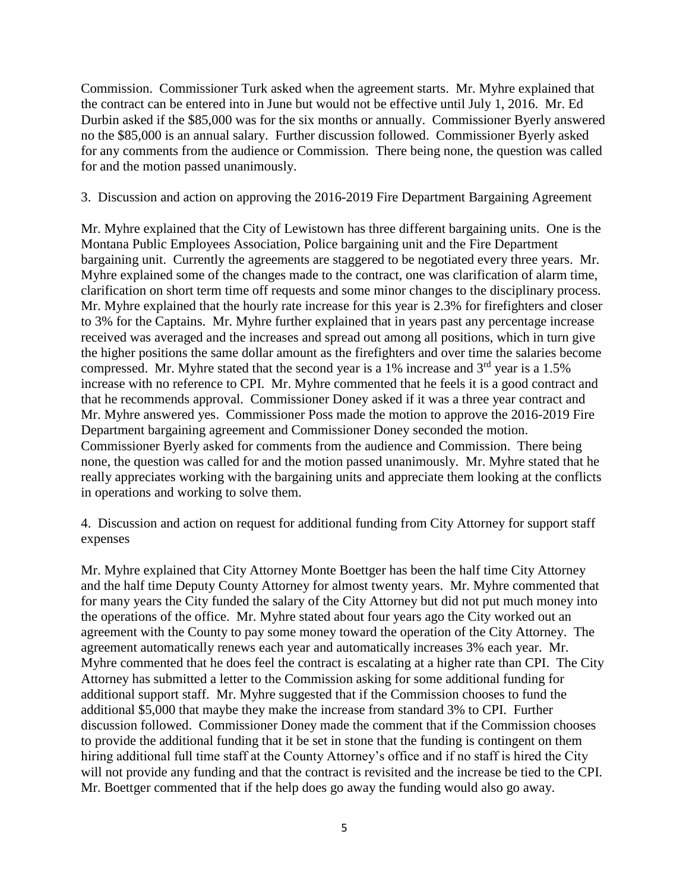Commission. Commissioner Turk asked when the agreement starts. Mr. Myhre explained that the contract can be entered into in June but would not be effective until July 1, 2016. Mr. Ed Durbin asked if the \$85,000 was for the six months or annually. Commissioner Byerly answered no the \$85,000 is an annual salary. Further discussion followed. Commissioner Byerly asked for any comments from the audience or Commission. There being none, the question was called for and the motion passed unanimously.

3. Discussion and action on approving the 2016-2019 Fire Department Bargaining Agreement

Mr. Myhre explained that the City of Lewistown has three different bargaining units. One is the Montana Public Employees Association, Police bargaining unit and the Fire Department bargaining unit. Currently the agreements are staggered to be negotiated every three years. Mr. Myhre explained some of the changes made to the contract, one was clarification of alarm time, clarification on short term time off requests and some minor changes to the disciplinary process. Mr. Myhre explained that the hourly rate increase for this year is 2.3% for firefighters and closer to 3% for the Captains. Mr. Myhre further explained that in years past any percentage increase received was averaged and the increases and spread out among all positions, which in turn give the higher positions the same dollar amount as the firefighters and over time the salaries become compressed. Mr. Myhre stated that the second year is a 1% increase and  $3<sup>rd</sup>$  year is a 1.5% increase with no reference to CPI. Mr. Myhre commented that he feels it is a good contract and that he recommends approval. Commissioner Doney asked if it was a three year contract and Mr. Myhre answered yes. Commissioner Poss made the motion to approve the 2016-2019 Fire Department bargaining agreement and Commissioner Doney seconded the motion. Commissioner Byerly asked for comments from the audience and Commission. There being none, the question was called for and the motion passed unanimously. Mr. Myhre stated that he really appreciates working with the bargaining units and appreciate them looking at the conflicts in operations and working to solve them.

4. Discussion and action on request for additional funding from City Attorney for support staff expenses

Mr. Myhre explained that City Attorney Monte Boettger has been the half time City Attorney and the half time Deputy County Attorney for almost twenty years. Mr. Myhre commented that for many years the City funded the salary of the City Attorney but did not put much money into the operations of the office. Mr. Myhre stated about four years ago the City worked out an agreement with the County to pay some money toward the operation of the City Attorney. The agreement automatically renews each year and automatically increases 3% each year. Mr. Myhre commented that he does feel the contract is escalating at a higher rate than CPI. The City Attorney has submitted a letter to the Commission asking for some additional funding for additional support staff. Mr. Myhre suggested that if the Commission chooses to fund the additional \$5,000 that maybe they make the increase from standard 3% to CPI. Further discussion followed. Commissioner Doney made the comment that if the Commission chooses to provide the additional funding that it be set in stone that the funding is contingent on them hiring additional full time staff at the County Attorney's office and if no staff is hired the City will not provide any funding and that the contract is revisited and the increase be tied to the CPI. Mr. Boettger commented that if the help does go away the funding would also go away.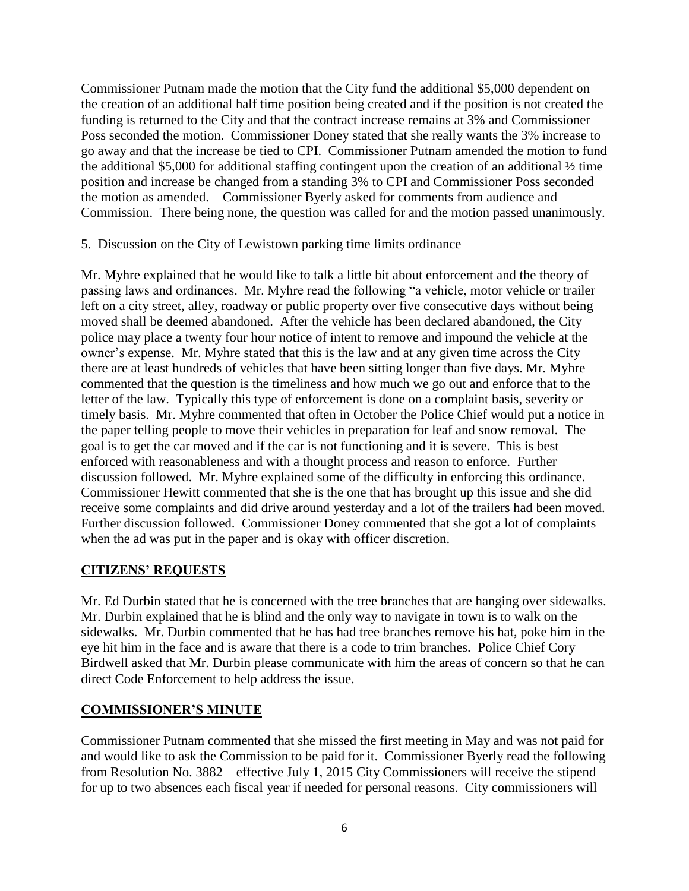Commissioner Putnam made the motion that the City fund the additional \$5,000 dependent on the creation of an additional half time position being created and if the position is not created the funding is returned to the City and that the contract increase remains at 3% and Commissioner Poss seconded the motion. Commissioner Doney stated that she really wants the 3% increase to go away and that the increase be tied to CPI. Commissioner Putnam amended the motion to fund the additional \$5,000 for additional staffing contingent upon the creation of an additional ½ time position and increase be changed from a standing 3% to CPI and Commissioner Poss seconded the motion as amended. Commissioner Byerly asked for comments from audience and Commission. There being none, the question was called for and the motion passed unanimously.

5. Discussion on the City of Lewistown parking time limits ordinance

Mr. Myhre explained that he would like to talk a little bit about enforcement and the theory of passing laws and ordinances. Mr. Myhre read the following "a vehicle, motor vehicle or trailer left on a city street, alley, roadway or public property over five consecutive days without being moved shall be deemed abandoned. After the vehicle has been declared abandoned, the City police may place a twenty four hour notice of intent to remove and impound the vehicle at the owner's expense. Mr. Myhre stated that this is the law and at any given time across the City there are at least hundreds of vehicles that have been sitting longer than five days. Mr. Myhre commented that the question is the timeliness and how much we go out and enforce that to the letter of the law. Typically this type of enforcement is done on a complaint basis, severity or timely basis. Mr. Myhre commented that often in October the Police Chief would put a notice in the paper telling people to move their vehicles in preparation for leaf and snow removal. The goal is to get the car moved and if the car is not functioning and it is severe. This is best enforced with reasonableness and with a thought process and reason to enforce. Further discussion followed. Mr. Myhre explained some of the difficulty in enforcing this ordinance. Commissioner Hewitt commented that she is the one that has brought up this issue and she did receive some complaints and did drive around yesterday and a lot of the trailers had been moved. Further discussion followed. Commissioner Doney commented that she got a lot of complaints when the ad was put in the paper and is okay with officer discretion.

### **CITIZENS' REQUESTS**

Mr. Ed Durbin stated that he is concerned with the tree branches that are hanging over sidewalks. Mr. Durbin explained that he is blind and the only way to navigate in town is to walk on the sidewalks. Mr. Durbin commented that he has had tree branches remove his hat, poke him in the eye hit him in the face and is aware that there is a code to trim branches. Police Chief Cory Birdwell asked that Mr. Durbin please communicate with him the areas of concern so that he can direct Code Enforcement to help address the issue.

### **COMMISSIONER'S MINUTE**

Commissioner Putnam commented that she missed the first meeting in May and was not paid for and would like to ask the Commission to be paid for it. Commissioner Byerly read the following from Resolution No. 3882 – effective July 1, 2015 City Commissioners will receive the stipend for up to two absences each fiscal year if needed for personal reasons. City commissioners will